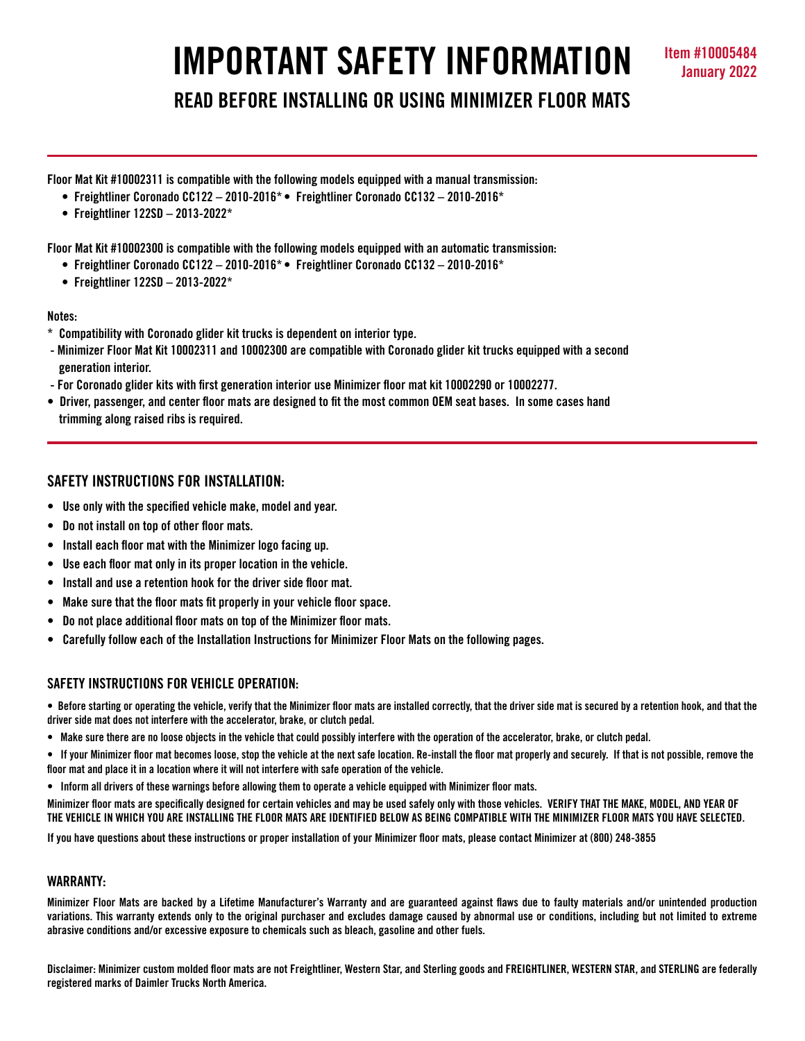# **IMPORTANT SAFETY INFORMATION Item #10005484**

**READ BEFORE INSTALLING OR USING MINIMIZER FLOOR MATS**

**Floor Mat Kit #10002311 is compatible with the following models equipped with a manual transmission:**

- **Freightliner Coronado CC122 2010-2016\* Freightliner Coronado CC132 2010-2016\***
- **Freightliner 122SD 2013-2022\***

**Floor Mat Kit #10002300 is compatible with the following models equipped with an automatic transmission:**

- **Freightliner Coronado CC122 2010-2016\* Freightliner Coronado CC132 2010-2016\***
- **Freightliner 122SD 2013-2022\***

#### **Notes:**

- **\* Compatibility with Coronado glider kit trucks is dependent on interior type.**
- **Minimizer Floor Mat Kit 10002311 and 10002300 are compatible with Coronado glider kit trucks equipped with a second generation interior.**
- **For Coronado glider kits with first generation interior use Minimizer floor mat kit 10002290 or 10002277.**
- **Driver, passenger, and center floor mats are designed to fit the most common OEM seat bases. In some cases hand trimming along raised ribs is required.**

# **SAFETY INSTRUCTIONS FOR INSTALLATION:**

- **Use only with the specified vehicle make, model and year.**
- **Do not install on top of other floor mats.**
- **Install each floor mat with the Minimizer logo facing up.**
- **Use each floor mat only in its proper location in the vehicle.**
- **Install and use a retention hook for the driver side floor mat.**
- **Make sure that the floor mats fit properly in your vehicle floor space.**
- **Do not place additional floor mats on top of the Minimizer floor mats.**
- **Carefully follow each of the Installation Instructions for Minimizer Floor Mats on the following pages.**

## **SAFETY INSTRUCTIONS FOR VEHICLE OPERATION:**

- **Before starting or operating the vehicle, verify that the Minimizer floor mats are installed correctly, that the driver side mat is secured by a retention hook, and that the driver side mat does not interfere with the accelerator, brake, or clutch pedal.**
- **Make sure there are no loose objects in the vehicle that could possibly interfere with the operation of the accelerator, brake, or clutch pedal.**
- **If your Minimizer floor mat becomes loose, stop the vehicle at the next safe location. Re-install the floor mat properly and securely. If that is not possible, remove the floor mat and place it in a location where it will not interfere with safe operation of the vehicle.**
- **Inform all drivers of these warnings before allowing them to operate a vehicle equipped with Minimizer floor mats.**

**Minimizer floor mats are specifically designed for certain vehicles and may be used safely only with those vehicles. VERIFY THAT THE MAKE, MODEL, AND YEAR OF THE VEHICLE IN WHICH YOU ARE INSTALLING THE FLOOR MATS ARE IDENTIFIED BELOW AS BEING COMPATIBLE WITH THE MINIMIZER FLOOR MATS YOU HAVE SELECTED.** 

**If you have questions about these instructions or proper installation of your Minimizer floor mats, please contact Minimizer at (800) 248-3855**

#### **WARRANTY:**

**Minimizer Floor Mats are backed by a Lifetime Manufacturer's Warranty and are guaranteed against flaws due to faulty materials and/or unintended production variations. This warranty extends only to the original purchaser and excludes damage caused by abnormal use or conditions, including but not limited to extreme abrasive conditions and/or excessive exposure to chemicals such as bleach, gasoline and other fuels.**

**Disclaimer: Minimizer custom molded floor mats are not Freightliner, Western Star, and Sterling goods and FREIGHTLINER, WESTERN STAR, and STERLING are federally registered marks of Daimler Trucks North America.**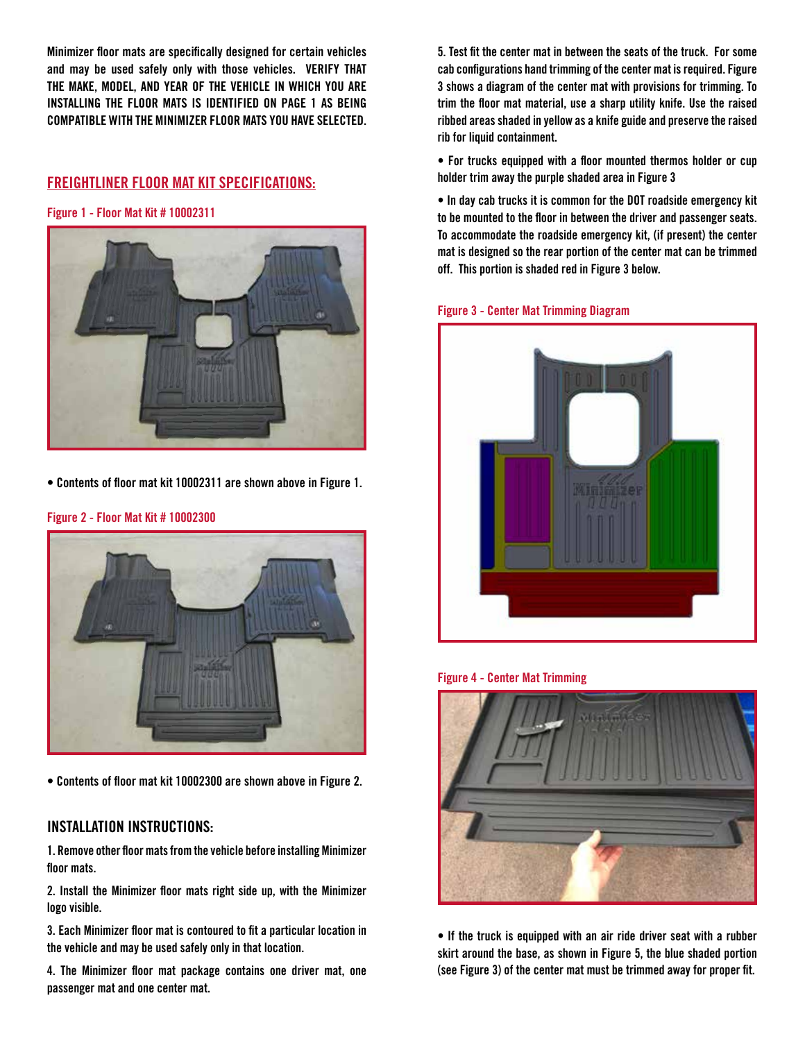**Minimizer floor mats are specifically designed for certain vehicles and may be used safely only with those vehicles. VERIFY THAT THE MAKE, MODEL, AND YEAR OF THE VEHICLE IN WHICH YOU ARE INSTALLING THE FLOOR MATS IS IDENTIFIED ON PAGE 1 AS BEING COMPATIBLE WITH THE MINIMIZER FLOOR MATS YOU HAVE SELECTED.**

# **FREIGHTLINER FLOOR MAT KIT SPECIFICATIONS:**

**Figure 1 - Floor Mat Kit # 10002311**



**• Contents of floor mat kit 10002311 are shown above in Figure 1.**



#### **Figure 2 - Floor Mat Kit # 10002300**

**• Contents of floor mat kit 10002300 are shown above in Figure 2.**

# **INSTALLATION INSTRUCTIONS:**

**1. Remove other floor mats from the vehicle before installing Minimizer floor mats.**

**2. Install the Minimizer floor mats right side up, with the Minimizer logo visible.**

**3. Each Minimizer floor mat is contoured to fit a particular location in the vehicle and may be used safely only in that location.**

**4. The Minimizer floor mat package contains one driver mat, one passenger mat and one center mat.** 

**5. Test fit the center mat in between the seats of the truck. For some cab configurations hand trimming of the center mat is required. Figure 3 shows a diagram of the center mat with provisions for trimming. To trim the floor mat material, use a sharp utility knife. Use the raised ribbed areas shaded in yellow as a knife guide and preserve the raised rib for liquid containment.** 

**• For trucks equipped with a floor mounted thermos holder or cup holder trim away the purple shaded area in Figure 3**

**• In day cab trucks it is common for the DOT roadside emergency kit to be mounted to the floor in between the driver and passenger seats. To accommodate the roadside emergency kit, (if present) the center mat is designed so the rear portion of the center mat can be trimmed off. This portion is shaded red in Figure 3 below.** 

**Figure 3 - Center Mat Trimming Diagram**







**• If the truck is equipped with an air ride driver seat with a rubber skirt around the base, as shown in Figure 5, the blue shaded portion (see Figure 3) of the center mat must be trimmed away for proper fit.**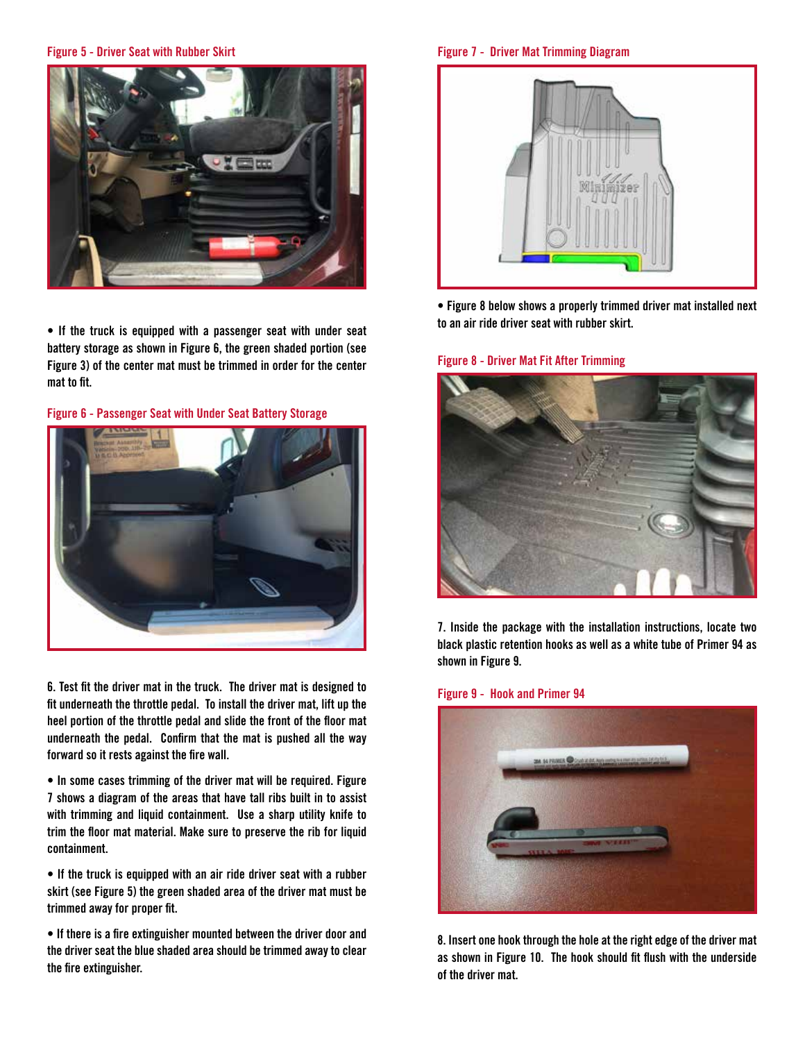**Figure 5 - Driver Seat with Rubber Skirt**



**• If the truck is equipped with a passenger seat with under seat battery storage as shown in Figure 6, the green shaded portion (see Figure 3) of the center mat must be trimmed in order for the center mat to fit.**

**Figure 6 - Passenger Seat with Under Seat Battery Storage**



**6. Test fit the driver mat in the truck. The driver mat is designed to fit underneath the throttle pedal. To install the driver mat, lift up the heel portion of the throttle pedal and slide the front of the floor mat underneath the pedal. Confirm that the mat is pushed all the way forward so it rests against the fire wall.** 

**• In some cases trimming of the driver mat will be required. Figure 7 shows a diagram of the areas that have tall ribs built in to assist with trimming and liquid containment. Use a sharp utility knife to trim the floor mat material. Make sure to preserve the rib for liquid containment.** 

**• If the truck is equipped with an air ride driver seat with a rubber skirt (see Figure 5) the green shaded area of the driver mat must be trimmed away for proper fit.**

**• If there is a fire extinguisher mounted between the driver door and the driver seat the blue shaded area should be trimmed away to clear the fire extinguisher.** 

**Figure 7 - Driver Mat Trimming Diagram**



**• Figure 8 below shows a properly trimmed driver mat installed next to an air ride driver seat with rubber skirt.**

## **Figure 8 - Driver Mat Fit After Trimming**



**7. Inside the package with the installation instructions, locate two black plastic retention hooks as well as a white tube of Primer 94 as shown in Figure 9.** 

#### **Figure 9 - Hook and Primer 94**



**8. Insert one hook through the hole at the right edge of the driver mat as shown in Figure 10. The hook should fit flush with the underside of the driver mat.**